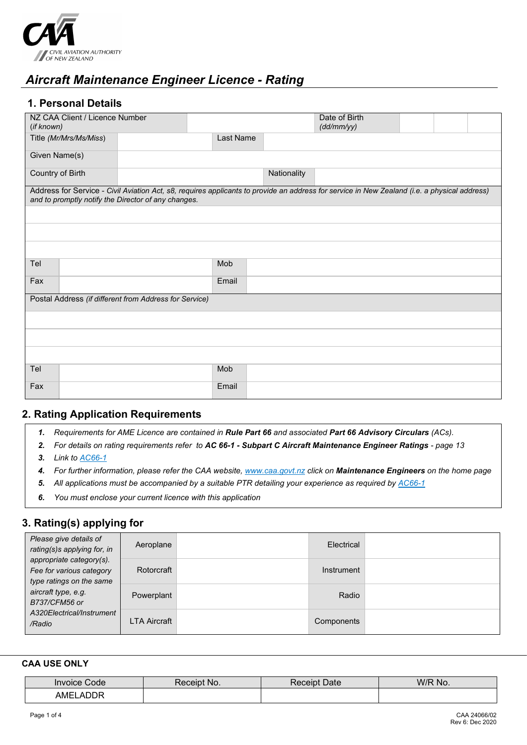

# *Aircraft Maintenance Engineer Licence - Rating*

# **1. Personal Details**

| NZ CAA Client / Licence Number<br>(if known)           |           |             | Date of Birth<br>(dd/mm/yy)                                                                                                                  |  |  |
|--------------------------------------------------------|-----------|-------------|----------------------------------------------------------------------------------------------------------------------------------------------|--|--|
| Title (Mr/Mrs/Ms/Miss)                                 | Last Name |             |                                                                                                                                              |  |  |
| Given Name(s)                                          |           |             |                                                                                                                                              |  |  |
| Country of Birth                                       |           | Nationality |                                                                                                                                              |  |  |
| and to promptly notify the Director of any changes.    |           |             | Address for Service - Civil Aviation Act, s8, requires applicants to provide an address for service in New Zealand (i.e. a physical address) |  |  |
|                                                        |           |             |                                                                                                                                              |  |  |
|                                                        |           |             |                                                                                                                                              |  |  |
|                                                        |           |             |                                                                                                                                              |  |  |
| Tel                                                    | Mob       |             |                                                                                                                                              |  |  |
| Fax                                                    | Email     |             |                                                                                                                                              |  |  |
| Postal Address (if different from Address for Service) |           |             |                                                                                                                                              |  |  |
|                                                        |           |             |                                                                                                                                              |  |  |
|                                                        |           |             |                                                                                                                                              |  |  |
|                                                        |           |             |                                                                                                                                              |  |  |
| Tel                                                    | Mob       |             |                                                                                                                                              |  |  |
| Fax                                                    | Email     |             |                                                                                                                                              |  |  |

## **2. Rating Application Requirements**

- *1. Requirements for AME Licence are contained in Rule Part 66 and associated Part 66 Advisory Circulars (ACs).*
- *2. For details on rating requirements refer to AC 66-1 - Subpart C Aircraft Maintenance Engineer Ratings - page 13*
- *3. Link to [AC66-1](http://www.caa.govt.nz/Advisory_Circulars/AC66_1.pdf)*
- *4. For further information, please refer the CAA website[, www.caa.govt.nz](http://www.caa.govt.nz/) click on Maintenance Engineers on the home page*
- *5. All applications must be accompanied by a suitable PTR detailing your experience as required b[y AC66-1](http://www.caa.govt.nz/Advisory_Circulars/AC66_1.pdf)*
- *6. You must enclose your current licence with this application*

## **3. Rating(s) applying for**

| Please give details of<br>rating(s)s applying for, in<br>appropriate category(s).<br>Fee for various category<br>type ratings on the same<br>aircraft type, e.g.<br>B737/CFM56 or<br>A320Electrical/Instrument<br>/Radio | Aeroplane    | Electrical |  |
|--------------------------------------------------------------------------------------------------------------------------------------------------------------------------------------------------------------------------|--------------|------------|--|
|                                                                                                                                                                                                                          | Rotorcraft   | Instrument |  |
|                                                                                                                                                                                                                          | Powerplant   | Radio      |  |
|                                                                                                                                                                                                                          | LTA Aircraft | Components |  |

#### **CAA USE ONLY**

| <b>Code</b>                            | NO.  | Date   | W/F |
|----------------------------------------|------|--------|-----|
| Invoice                                | elb) | eceipì | No. |
| AME<br>$\sim$ $\sim$ $\sim$<br>Δ<br>⊣ו |      |        |     |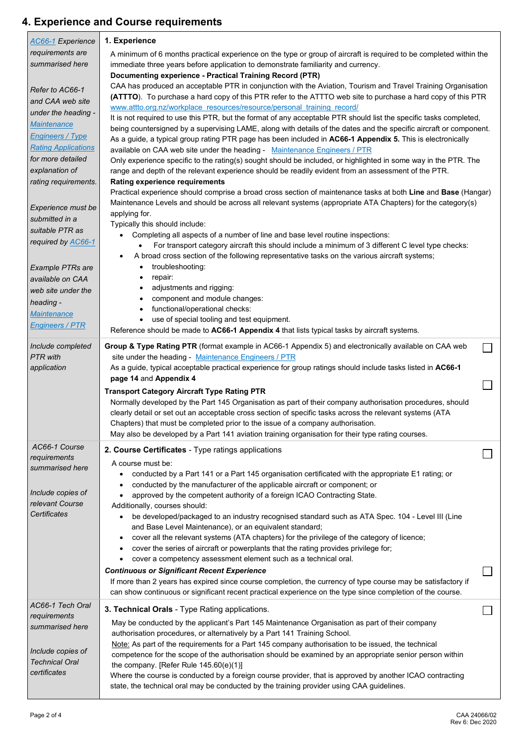# **4. Experience and Course requirements**

| AC66-1 Experience                               | 1. Experience                                                                                                                                                                                         |              |
|-------------------------------------------------|-------------------------------------------------------------------------------------------------------------------------------------------------------------------------------------------------------|--------------|
| requirements are                                | A minimum of 6 months practical experience on the type or group of aircraft is required to be completed within the                                                                                    |              |
| summarised here                                 | immediate three years before application to demonstrate familiarity and currency.                                                                                                                     |              |
|                                                 | Documenting experience - Practical Training Record (PTR)<br>CAA has produced an acceptable PTR in conjunction with the Aviation, Tourism and Travel Training Organisation                             |              |
| Refer to AC66-1                                 | (ATTTO). To purchase a hard copy of this PTR refer to the ATTTO web site to purchase a hard copy of this PTR                                                                                          |              |
| and CAA web site                                | www.attto.org.nz/workplace resources/resource/personal training record/                                                                                                                               |              |
| under the heading -                             | It is not required to use this PTR, but the format of any acceptable PTR should list the specific tasks completed,                                                                                    |              |
| <b>Maintenance</b>                              | being countersigned by a supervising LAME, along with details of the dates and the specific aircraft or component.                                                                                    |              |
| <b>Engineers / Type</b>                         | As a guide, a typical group rating PTR page has been included in AC66-1 Appendix 5. This is electronically                                                                                            |              |
| <b>Rating Applications</b><br>for more detailed | available on CAA web site under the heading - Maintenance Engineers / PTR                                                                                                                             |              |
| explanation of                                  | Only experience specific to the rating(s) sought should be included, or highlighted in some way in the PTR. The                                                                                       |              |
| rating requirements.                            | range and depth of the relevant experience should be readily evident from an assessment of the PTR.<br>Rating experience requirements                                                                 |              |
|                                                 | Practical experience should comprise a broad cross section of maintenance tasks at both Line and Base (Hangar)                                                                                        |              |
|                                                 | Maintenance Levels and should be across all relevant systems (appropriate ATA Chapters) for the category(s)                                                                                           |              |
| Experience must be<br>submitted in a            | applying for.                                                                                                                                                                                         |              |
| suitable PTR as                                 | Typically this should include:                                                                                                                                                                        |              |
| required by AC66-1                              | Completing all aspects of a number of line and base level routine inspections:                                                                                                                        |              |
|                                                 | For transport category aircraft this should include a minimum of 3 different C level type checks:<br>٠                                                                                                |              |
|                                                 | A broad cross section of the following representative tasks on the various aircraft systems;<br>troubleshooting:<br>$\bullet$                                                                         |              |
| <b>Example PTRs are</b><br>available on CAA     | repair:<br>٠                                                                                                                                                                                          |              |
| web site under the                              | adjustments and rigging:<br>$\bullet$                                                                                                                                                                 |              |
| heading -                                       | component and module changes:<br>$\bullet$                                                                                                                                                            |              |
| <b>Maintenance</b>                              | functional/operational checks:<br>$\bullet$                                                                                                                                                           |              |
| <b>Engineers / PTR</b>                          | use of special tooling and test equipment.<br>$\bullet$                                                                                                                                               |              |
|                                                 | Reference should be made to AC66-1 Appendix 4 that lists typical tasks by aircraft systems.                                                                                                           |              |
| Include completed                               | Group & Type Rating PTR (format example in AC66-1 Appendix 5) and electronically available on CAA web                                                                                                 | $\mathsf{L}$ |
| <b>PTR</b> with                                 | site under the heading - Maintenance Engineers / PTR                                                                                                                                                  |              |
| application                                     | As a guide, typical acceptable practical experience for group ratings should include tasks listed in AC66-1                                                                                           |              |
|                                                 | page 14 and Appendix 4                                                                                                                                                                                |              |
|                                                 | <b>Transport Category Aircraft Type Rating PTR</b><br>Normally developed by the Part 145 Organisation as part of their company authorisation procedures, should                                       |              |
|                                                 | clearly detail or set out an acceptable cross section of specific tasks across the relevant systems (ATA                                                                                              |              |
|                                                 | Chapters) that must be completed prior to the issue of a company authorisation.                                                                                                                       |              |
|                                                 | May also be developed by a Part 141 aviation training organisation for their type rating courses.                                                                                                     |              |
| AC66-1 Course                                   | 2. Course Certificates - Type ratings applications                                                                                                                                                    |              |
| requirements                                    | A course must be:                                                                                                                                                                                     |              |
| summarised here                                 | conducted by a Part 141 or a Part 145 organisation certificated with the appropriate E1 rating; or<br>٠                                                                                               |              |
|                                                 | conducted by the manufacturer of the applicable aircraft or component; or<br>$\bullet$                                                                                                                |              |
| Include copies of                               | approved by the competent authority of a foreign ICAO Contracting State.<br>$\bullet$                                                                                                                 |              |
| relevant Course<br>Certificates                 | Additionally, courses should:                                                                                                                                                                         |              |
|                                                 | be developed/packaged to an industry recognised standard such as ATA Spec. 104 - Level III (Line<br>٠<br>and Base Level Maintenance), or an equivalent standard;                                      |              |
|                                                 | cover all the relevant systems (ATA chapters) for the privilege of the category of licence;<br>$\bullet$                                                                                              |              |
|                                                 | cover the series of aircraft or powerplants that the rating provides privilege for;<br>$\bullet$                                                                                                      |              |
|                                                 | cover a competency assessment element such as a technical oral.<br>$\bullet$                                                                                                                          |              |
|                                                 | <b>Continuous or Significant Recent Experience</b>                                                                                                                                                    |              |
|                                                 | If more than 2 years has expired since course completion, the currency of type course may be satisfactory if                                                                                          |              |
|                                                 | can show continuous or significant recent practical experience on the type since completion of the course.                                                                                            |              |
| AC66-1 Tech Oral                                | 3. Technical Orals - Type Rating applications.                                                                                                                                                        |              |
| requirements                                    | May be conducted by the applicant's Part 145 Maintenance Organisation as part of their company                                                                                                        |              |
| summarised here                                 | authorisation procedures, or alternatively by a Part 141 Training School.                                                                                                                             |              |
|                                                 | Note: As part of the requirements for a Part 145 company authorisation to be issued, the technical                                                                                                    |              |
| Include copies of<br><b>Technical Oral</b>      | competence for the scope of the authorisation should be examined by an appropriate senior person within                                                                                               |              |
| certificates                                    | the company. [Refer Rule 145.60(e)(1)]                                                                                                                                                                |              |
|                                                 | Where the course is conducted by a foreign course provider, that is approved by another ICAO contracting<br>state, the technical oral may be conducted by the training provider using CAA guidelines. |              |
|                                                 |                                                                                                                                                                                                       |              |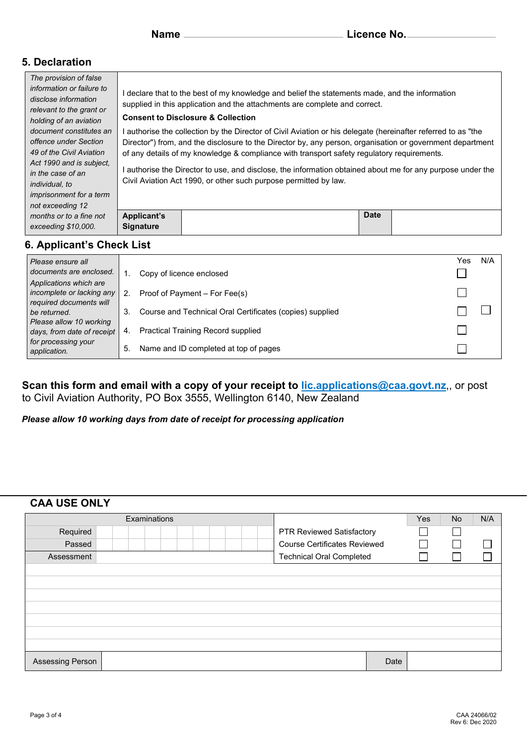# **5. Declaration**

| The provision of false                                                                                                                                                                                |                                                                                                                                                                                                                                                                                                                                                                                                                                                                                                        |             |  |  |  |  |  |  |  |  |
|-------------------------------------------------------------------------------------------------------------------------------------------------------------------------------------------------------|--------------------------------------------------------------------------------------------------------------------------------------------------------------------------------------------------------------------------------------------------------------------------------------------------------------------------------------------------------------------------------------------------------------------------------------------------------------------------------------------------------|-------------|--|--|--|--|--|--|--|--|
| information or failure to<br>disclose information<br>relevant to the grant or<br>holding of an aviation                                                                                               | declare that to the best of my knowledge and belief the statements made, and the information<br>supplied in this application and the attachments are complete and correct.<br><b>Consent to Disclosure &amp; Collection</b>                                                                                                                                                                                                                                                                            |             |  |  |  |  |  |  |  |  |
| document constitutes an<br>offence under Section<br>49 of the Civil Aviation<br>Act 1990 and is subject.<br>in the case of an<br>individual, to<br><i>imprisonment for a term</i><br>not exceeding 12 | authorise the collection by the Director of Civil Aviation or his delegate (hereinafter referred to as "the<br>Director") from, and the disclosure to the Director by, any person, organisation or government department<br>of any details of my knowledge & compliance with transport safety regulatory requirements.<br>authorise the Director to use, and disclose, the information obtained about me for any purpose under the<br>Civil Aviation Act 1990, or other such purpose permitted by law. |             |  |  |  |  |  |  |  |  |
| months or to a fine not<br>exceeding \$10,000.                                                                                                                                                        | <b>Applicant's</b><br><b>Signature</b>                                                                                                                                                                                                                                                                                                                                                                                                                                                                 | <b>Date</b> |  |  |  |  |  |  |  |  |
| 6. Applicant's Check List                                                                                                                                                                             |                                                                                                                                                                                                                                                                                                                                                                                                                                                                                                        |             |  |  |  |  |  |  |  |  |

#### Yes N/A *Please ensure all documents are enclosed.*  1. Copy of licence enclosed П *Applications which are*   $\Box$ *incomplete or lacking any*  2. Proof of Payment – For Fee(s) *required documents will*   $\Box$  $\Box$ 3. Course and Technical Oral Certificates (copies) supplied *be returned. Please allow 10 working*  4. Practical Training Record supplied П *days, from date of receipt for processing your*  5. Name and ID completed at top of pages П *application.*

#### **Scan this form and email with a copy of your receipt to [lic.applications@caa.govt.nz](mailto:lic.applications@caa.govt.nz)**,, or post to Civil Aviation Authority, PO Box 3555, Wellington 6140, New Zealand

*Please allow 10 working days from date of receipt for processing application*

#### **CAA USE ONLY**

| Examinations     |  |  |  |  |  | Yes | <b>No</b> | N/A                                 |      |  |  |  |
|------------------|--|--|--|--|--|-----|-----------|-------------------------------------|------|--|--|--|
| Required         |  |  |  |  |  |     |           | <b>PTR Reviewed Satisfactory</b>    |      |  |  |  |
| Passed           |  |  |  |  |  |     |           | <b>Course Certificates Reviewed</b> |      |  |  |  |
| Assessment       |  |  |  |  |  |     |           | <b>Technical Oral Completed</b>     |      |  |  |  |
|                  |  |  |  |  |  |     |           |                                     |      |  |  |  |
|                  |  |  |  |  |  |     |           |                                     |      |  |  |  |
|                  |  |  |  |  |  |     |           |                                     |      |  |  |  |
|                  |  |  |  |  |  |     |           |                                     |      |  |  |  |
|                  |  |  |  |  |  |     |           |                                     |      |  |  |  |
|                  |  |  |  |  |  |     |           |                                     |      |  |  |  |
|                  |  |  |  |  |  |     |           |                                     |      |  |  |  |
| Assessing Person |  |  |  |  |  |     |           |                                     | Date |  |  |  |